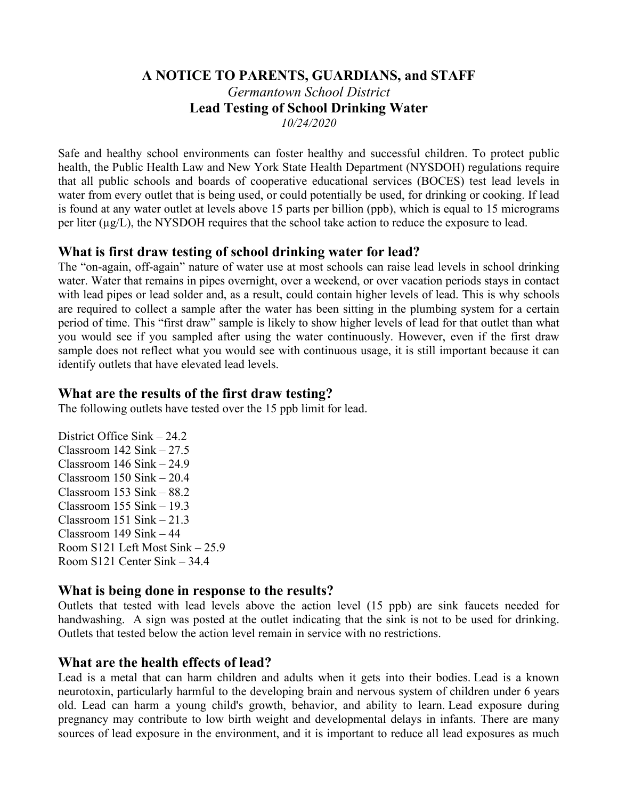#### **A NOTICE TO PARENTS, GUARDIANS, and STAFF** *Germantown School District* **Lead Testing of School Drinking Water** *10/24/2020*

Safe and healthy school environments can foster healthy and successful children. To protect public health, the Public Health Law and New York State Health Department (NYSDOH) regulations require that all public schools and boards of cooperative educational services (BOCES) test lead levels in water from every outlet that is being used, or could potentially be used, for drinking or cooking. If lead is found at any water outlet at levels above 15 parts per billion (ppb), which is equal to 15 micrograms per liter (µg/L), the NYSDOH requires that the school take action to reduce the exposure to lead.

### **What is first draw testing of school drinking water for lead?**

The "on-again, off-again" nature of water use at most schools can raise lead levels in school drinking water. Water that remains in pipes overnight, over a weekend, or over vacation periods stays in contact with lead pipes or lead solder and, as a result, could contain higher levels of lead. This is why schools are required to collect a sample after the water has been sitting in the plumbing system for a certain period of time. This "first draw" sample is likely to show higher levels of lead for that outlet than what you would see if you sampled after using the water continuously. However, even if the first draw sample does not reflect what you would see with continuous usage, it is still important because it can identify outlets that have elevated lead levels.

## **What are the results of the first draw testing?**

The following outlets have tested over the 15 ppb limit for lead.

District Office Sink – 24.2 Classroom 142 Sink – 27.5 Classroom 146 Sink – 24.9 Classroom 150 Sink – 20.4 Classroom 153 Sink – 88.2 Classroom 155 Sink – 19.3 Classroom 151 Sink – 21.3 Classroom 149 Sink – 44 Room S121 Left Most Sink – 25.9 Room S121 Center Sink – 34.4

### **What is being done in response to the results?**

Outlets that tested with lead levels above the action level (15 ppb) are sink faucets needed for handwashing. A sign was posted at the outlet indicating that the sink is not to be used for drinking. Outlets that tested below the action level remain in service with no restrictions.

### **What are the health effects of lead?**

Lead is a metal that can harm children and adults when it gets into their bodies. Lead is a known neurotoxin, particularly harmful to the developing brain and nervous system of children under 6 years old. Lead can harm a young child's growth, behavior, and ability to learn. Lead exposure during pregnancy may contribute to low birth weight and developmental delays in infants. There are many sources of lead exposure in the environment, and it is important to reduce all lead exposures as much